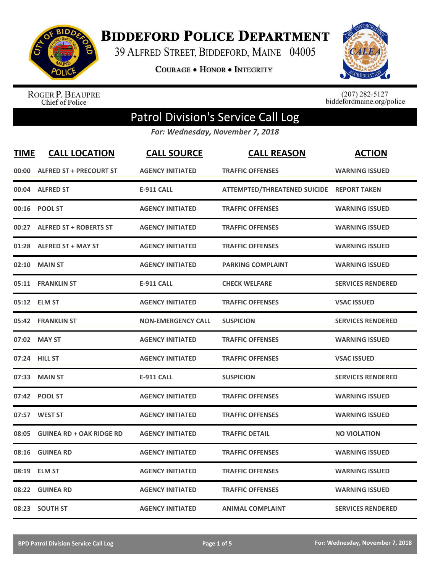

**BIDDEFORD POLICE DEPARTMENT** 

39 ALFRED STREET, BIDDEFORD, MAINE 04005

**COURAGE . HONOR . INTEGRITY** 



ROGER P. BEAUPRE<br>Chief of Police

 $(207)$  282-5127<br>biddefordmaine.org/police

## Patrol Division's Service Call Log

*For: Wednesday, November 7, 2018*

| <b>TIME</b> | <b>CALL LOCATION</b>            | <b>CALL SOURCE</b>        | <b>CALL REASON</b>                        | <b>ACTION</b>            |
|-------------|---------------------------------|---------------------------|-------------------------------------------|--------------------------|
|             | 00:00 ALFRED ST + PRECOURT ST   | <b>AGENCY INITIATED</b>   | <b>TRAFFIC OFFENSES</b>                   | <b>WARNING ISSUED</b>    |
|             | 00:04 ALFRED ST                 | <b>E-911 CALL</b>         | ATTEMPTED/THREATENED SUICIDE REPORT TAKEN |                          |
|             | 00:16 POOL ST                   | <b>AGENCY INITIATED</b>   | <b>TRAFFIC OFFENSES</b>                   | <b>WARNING ISSUED</b>    |
|             | 00:27 ALFRED ST + ROBERTS ST    | <b>AGENCY INITIATED</b>   | <b>TRAFFIC OFFENSES</b>                   | <b>WARNING ISSUED</b>    |
| 01:28       | <b>ALFRED ST + MAY ST</b>       | <b>AGENCY INITIATED</b>   | <b>TRAFFIC OFFENSES</b>                   | <b>WARNING ISSUED</b>    |
| 02:10       | <b>MAIN ST</b>                  | <b>AGENCY INITIATED</b>   | <b>PARKING COMPLAINT</b>                  | <b>WARNING ISSUED</b>    |
| 05:11       | <b>FRANKLIN ST</b>              | <b>E-911 CALL</b>         | <b>CHECK WELFARE</b>                      | <b>SERVICES RENDERED</b> |
|             | 05:12 ELM ST                    | <b>AGENCY INITIATED</b>   | <b>TRAFFIC OFFENSES</b>                   | <b>VSAC ISSUED</b>       |
| 05:42       | <b>FRANKLIN ST</b>              | <b>NON-EMERGENCY CALL</b> | <b>SUSPICION</b>                          | <b>SERVICES RENDERED</b> |
| 07:02       | <b>MAY ST</b>                   | <b>AGENCY INITIATED</b>   | <b>TRAFFIC OFFENSES</b>                   | <b>WARNING ISSUED</b>    |
|             | 07:24 HILL ST                   | <b>AGENCY INITIATED</b>   | <b>TRAFFIC OFFENSES</b>                   | <b>VSAC ISSUED</b>       |
| 07:33       | <b>MAIN ST</b>                  | <b>E-911 CALL</b>         | <b>SUSPICION</b>                          | <b>SERVICES RENDERED</b> |
|             | 07:42 POOL ST                   | <b>AGENCY INITIATED</b>   | <b>TRAFFIC OFFENSES</b>                   | <b>WARNING ISSUED</b>    |
| 07:57       | <b>WEST ST</b>                  | <b>AGENCY INITIATED</b>   | <b>TRAFFIC OFFENSES</b>                   | <b>WARNING ISSUED</b>    |
| 08:05       | <b>GUINEA RD + OAK RIDGE RD</b> | <b>AGENCY INITIATED</b>   | <b>TRAFFIC DETAIL</b>                     | <b>NO VIOLATION</b>      |
| 08:16       | <b>GUINEA RD</b>                | <b>AGENCY INITIATED</b>   | <b>TRAFFIC OFFENSES</b>                   | <b>WARNING ISSUED</b>    |
| 08:19       | <b>ELM ST</b>                   | <b>AGENCY INITIATED</b>   | <b>TRAFFIC OFFENSES</b>                   | <b>WARNING ISSUED</b>    |
| 08:22       | <b>GUINEA RD</b>                | <b>AGENCY INITIATED</b>   | <b>TRAFFIC OFFENSES</b>                   | <b>WARNING ISSUED</b>    |
|             | 08:23 SOUTH ST                  | <b>AGENCY INITIATED</b>   | <b>ANIMAL COMPLAINT</b>                   | <b>SERVICES RENDERED</b> |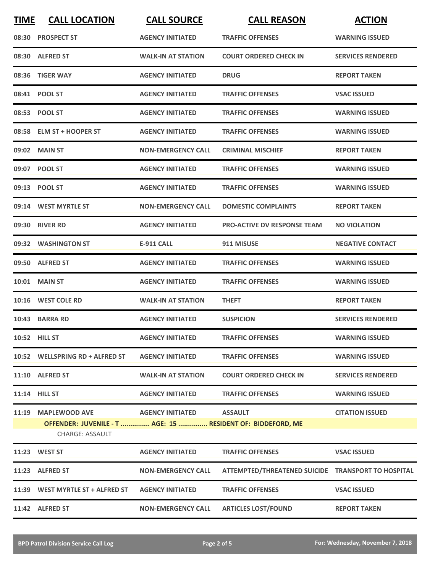| <b>TIME</b> | <b>CALL LOCATION</b>                                                               | <b>CALL SOURCE</b>        | <b>CALL REASON</b>                                 | <b>ACTION</b>            |
|-------------|------------------------------------------------------------------------------------|---------------------------|----------------------------------------------------|--------------------------|
|             | 08:30 PROSPECT ST                                                                  | <b>AGENCY INITIATED</b>   | <b>TRAFFIC OFFENSES</b>                            | <b>WARNING ISSUED</b>    |
|             | 08:30 ALFRED ST                                                                    | <b>WALK-IN AT STATION</b> | <b>COURT ORDERED CHECK IN</b>                      | <b>SERVICES RENDERED</b> |
|             | 08:36 TIGER WAY                                                                    | <b>AGENCY INITIATED</b>   | <b>DRUG</b>                                        | <b>REPORT TAKEN</b>      |
|             | 08:41 POOL ST                                                                      | <b>AGENCY INITIATED</b>   | <b>TRAFFIC OFFENSES</b>                            | <b>VSAC ISSUED</b>       |
|             | 08:53 POOL ST                                                                      | <b>AGENCY INITIATED</b>   | <b>TRAFFIC OFFENSES</b>                            | <b>WARNING ISSUED</b>    |
|             | 08:58 ELM ST + HOOPER ST                                                           | <b>AGENCY INITIATED</b>   | <b>TRAFFIC OFFENSES</b>                            | <b>WARNING ISSUED</b>    |
|             | 09:02 MAIN ST                                                                      | <b>NON-EMERGENCY CALL</b> | <b>CRIMINAL MISCHIEF</b>                           | <b>REPORT TAKEN</b>      |
|             | 09:07 POOL ST                                                                      | <b>AGENCY INITIATED</b>   | <b>TRAFFIC OFFENSES</b>                            | <b>WARNING ISSUED</b>    |
|             | 09:13 POOL ST                                                                      | <b>AGENCY INITIATED</b>   | <b>TRAFFIC OFFENSES</b>                            | <b>WARNING ISSUED</b>    |
|             | 09:14 WEST MYRTLE ST                                                               | <b>NON-EMERGENCY CALL</b> | <b>DOMESTIC COMPLAINTS</b>                         | <b>REPORT TAKEN</b>      |
|             | 09:30 RIVER RD                                                                     | <b>AGENCY INITIATED</b>   | PRO-ACTIVE DV RESPONSE TEAM                        | <b>NO VIOLATION</b>      |
|             | 09:32 WASHINGTON ST                                                                | <b>E-911 CALL</b>         | 911 MISUSE                                         | <b>NEGATIVE CONTACT</b>  |
|             | 09:50 ALFRED ST                                                                    | <b>AGENCY INITIATED</b>   | <b>TRAFFIC OFFENSES</b>                            | <b>WARNING ISSUED</b>    |
|             | 10:01 MAIN ST                                                                      | <b>AGENCY INITIATED</b>   | <b>TRAFFIC OFFENSES</b>                            | <b>WARNING ISSUED</b>    |
|             | 10:16 WEST COLE RD                                                                 | <b>WALK-IN AT STATION</b> | <b>THEFT</b>                                       | <b>REPORT TAKEN</b>      |
|             | 10:43 BARRA RD                                                                     | <b>AGENCY INITIATED</b>   | <b>SUSPICION</b>                                   | <b>SERVICES RENDERED</b> |
|             | 10:52 HILL ST                                                                      | <b>AGENCY INITIATED</b>   | <b>TRAFFIC OFFENSES</b>                            | <b>WARNING ISSUED</b>    |
|             | 10:52 WELLSPRING RD + ALFRED ST                                                    | <b>AGENCY INITIATED</b>   | <b>TRAFFIC OFFENSES</b>                            | <b>WARNING ISSUED</b>    |
|             | 11:10 ALFRED ST                                                                    | <b>WALK-IN AT STATION</b> | <b>COURT ORDERED CHECK IN</b>                      | <b>SERVICES RENDERED</b> |
|             | 11:14 HILL ST                                                                      | <b>AGENCY INITIATED</b>   | <b>TRAFFIC OFFENSES</b>                            | <b>WARNING ISSUED</b>    |
|             | 11:19 MAPLEWOOD AVE<br>OFFENDER: JUVENILE - T  AGE: 15  RESIDENT OF: BIDDEFORD, ME | <b>AGENCY INITIATED</b>   | <b>ASSAULT</b>                                     | <b>CITATION ISSUED</b>   |
|             | CHARGE: ASSAULT                                                                    |                           |                                                    |                          |
|             | 11:23 WEST ST                                                                      | <b>AGENCY INITIATED</b>   | <b>TRAFFIC OFFENSES</b>                            | <b>VSAC ISSUED</b>       |
|             | 11:23 ALFRED ST                                                                    | <b>NON-EMERGENCY CALL</b> | ATTEMPTED/THREATENED SUICIDE TRANSPORT TO HOSPITAL |                          |
|             | 11:39 WEST MYRTLE ST + ALFRED ST                                                   | <b>AGENCY INITIATED</b>   | <b>TRAFFIC OFFENSES</b>                            | <b>VSAC ISSUED</b>       |
|             | 11:42 ALFRED ST                                                                    | <b>NON-EMERGENCY CALL</b> | <b>ARTICLES LOST/FOUND</b>                         | <b>REPORT TAKEN</b>      |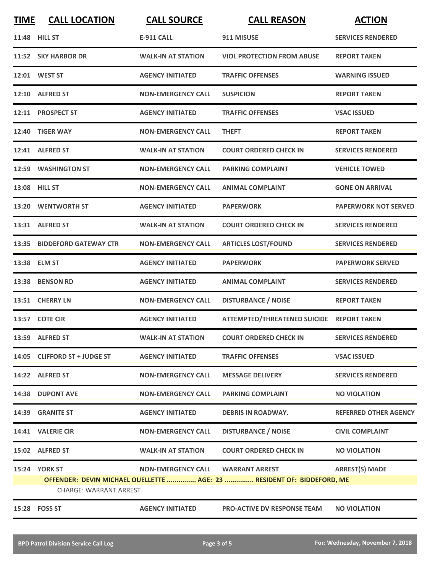| <b>TIME</b>                                                                                             | <b>CALL LOCATION</b>         | <b>CALL SOURCE</b>        | <b>CALL REASON</b>                        | <b>ACTION</b>                |
|---------------------------------------------------------------------------------------------------------|------------------------------|---------------------------|-------------------------------------------|------------------------------|
|                                                                                                         | 11:48 HILL ST                | <b>E-911 CALL</b>         | 911 MISUSE                                | <b>SERVICES RENDERED</b>     |
|                                                                                                         | 11:52 SKY HARBOR DR          | <b>WALK-IN AT STATION</b> | <b>VIOL PROTECTION FROM ABUSE</b>         | <b>REPORT TAKEN</b>          |
|                                                                                                         | 12:01 WEST ST                | <b>AGENCY INITIATED</b>   | <b>TRAFFIC OFFENSES</b>                   | <b>WARNING ISSUED</b>        |
|                                                                                                         | 12:10 ALFRED ST              | <b>NON-EMERGENCY CALL</b> | <b>SUSPICION</b>                          | <b>REPORT TAKEN</b>          |
|                                                                                                         | 12:11 PROSPECT ST            | <b>AGENCY INITIATED</b>   | <b>TRAFFIC OFFENSES</b>                   | <b>VSAC ISSUED</b>           |
|                                                                                                         | 12:40 TIGER WAY              | <b>NON-EMERGENCY CALL</b> | <b>THEFT</b>                              | <b>REPORT TAKEN</b>          |
|                                                                                                         | 12:41 ALFRED ST              | <b>WALK-IN AT STATION</b> | <b>COURT ORDERED CHECK IN</b>             | <b>SERVICES RENDERED</b>     |
|                                                                                                         | 12:59 WASHINGTON ST          | <b>NON-EMERGENCY CALL</b> | <b>PARKING COMPLAINT</b>                  | <b>VEHICLE TOWED</b>         |
|                                                                                                         | 13:08 HILL ST                | <b>NON-EMERGENCY CALL</b> | <b>ANIMAL COMPLAINT</b>                   | <b>GONE ON ARRIVAL</b>       |
| 13:20                                                                                                   | <b>WENTWORTH ST</b>          | <b>AGENCY INITIATED</b>   | <b>PAPERWORK</b>                          | <b>PAPERWORK NOT SERVED</b>  |
|                                                                                                         | 13:31 ALFRED ST              | <b>WALK-IN AT STATION</b> | <b>COURT ORDERED CHECK IN</b>             | <b>SERVICES RENDERED</b>     |
|                                                                                                         | 13:35 BIDDEFORD GATEWAY CTR  | <b>NON-EMERGENCY CALL</b> | <b>ARTICLES LOST/FOUND</b>                | <b>SERVICES RENDERED</b>     |
|                                                                                                         | 13:38 ELM ST                 | <b>AGENCY INITIATED</b>   | <b>PAPERWORK</b>                          | <b>PAPERWORK SERVED</b>      |
|                                                                                                         | 13:38 BENSON RD              | <b>AGENCY INITIATED</b>   | <b>ANIMAL COMPLAINT</b>                   | <b>SERVICES RENDERED</b>     |
|                                                                                                         | 13:51 CHERRY LN              | <b>NON-EMERGENCY CALL</b> | <b>DISTURBANCE / NOISE</b>                | <b>REPORT TAKEN</b>          |
|                                                                                                         | 13:57 COTE CIR               | <b>AGENCY INITIATED</b>   | ATTEMPTED/THREATENED SUICIDE REPORT TAKEN |                              |
|                                                                                                         | 13:59 ALFRED ST              | <b>WALK-IN AT STATION</b> | <b>COURT ORDERED CHECK IN</b>             | <b>SERVICES RENDERED</b>     |
|                                                                                                         | 14:05 CLIFFORD ST + JUDGE ST | <b>AGENCY INITIATED</b>   | <b>TRAFFIC OFFENSES</b>                   | <b>VSAC ISSUED</b>           |
|                                                                                                         | 14:22 ALFRED ST              | <b>NON-EMERGENCY CALL</b> | <b>MESSAGE DELIVERY</b>                   | <b>SERVICES RENDERED</b>     |
|                                                                                                         | 14:38 DUPONT AVE             | <b>NON-EMERGENCY CALL</b> | <b>PARKING COMPLAINT</b>                  | <b>NO VIOLATION</b>          |
|                                                                                                         | 14:39 GRANITE ST             | <b>AGENCY INITIATED</b>   | <b>DEBRIS IN ROADWAY.</b>                 | <b>REFERRED OTHER AGENCY</b> |
|                                                                                                         | 14:41 VALERIE CIR            | <b>NON-EMERGENCY CALL</b> | <b>DISTURBANCE / NOISE</b>                | <b>CIVIL COMPLAINT</b>       |
|                                                                                                         | 15:02 ALFRED ST              | <b>WALK-IN AT STATION</b> | <b>COURT ORDERED CHECK IN</b>             | <b>NO VIOLATION</b>          |
|                                                                                                         | <b>15:24 YORK ST</b>         | <b>NON-EMERGENCY CALL</b> | <b>WARRANT ARREST</b>                     | <b>ARREST(S) MADE</b>        |
| OFFENDER: DEVIN MICHAEL OUELLETTE  AGE: 23  RESIDENT OF: BIDDEFORD, ME<br><b>CHARGE: WARRANT ARREST</b> |                              |                           |                                           |                              |
|                                                                                                         | 15:28 FOSS ST                | <b>AGENCY INITIATED</b>   | <b>PRO-ACTIVE DV RESPONSE TEAM</b>        | <b>NO VIOLATION</b>          |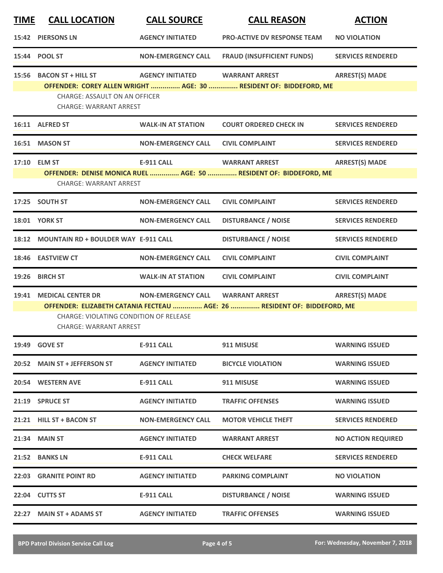| <b>TIME</b>  | <b>CALL LOCATION</b>                                                    | <b>CALL SOURCE</b>        | <b>CALL REASON</b>                                                                                | <b>ACTION</b>             |
|--------------|-------------------------------------------------------------------------|---------------------------|---------------------------------------------------------------------------------------------------|---------------------------|
| 15:42        | <b>PIERSONS LN</b>                                                      | <b>AGENCY INITIATED</b>   | <b>PRO-ACTIVE DV RESPONSE TEAM</b>                                                                | <b>NO VIOLATION</b>       |
| 15:44        | <b>POOL ST</b>                                                          | <b>NON-EMERGENCY CALL</b> | <b>FRAUD (INSUFFICIENT FUNDS)</b>                                                                 | <b>SERVICES RENDERED</b>  |
| 15:56        | <b>BACON ST + HILL ST</b>                                               | <b>AGENCY INITIATED</b>   | <b>WARRANT ARREST</b><br>OFFENDER: COREY ALLEN WRIGHT  AGE: 30  RESIDENT OF: BIDDEFORD, ME        | <b>ARREST(S) MADE</b>     |
|              | <b>CHARGE: ASSAULT ON AN OFFICER</b><br><b>CHARGE: WARRANT ARREST</b>   |                           |                                                                                                   |                           |
|              | 16:11 ALFRED ST                                                         | <b>WALK-IN AT STATION</b> | <b>COURT ORDERED CHECK IN</b>                                                                     | <b>SERVICES RENDERED</b>  |
| 16:51        | <b>MASON ST</b>                                                         | <b>NON-EMERGENCY CALL</b> | <b>CIVIL COMPLAINT</b>                                                                            | <b>SERVICES RENDERED</b>  |
| 17:10 ELM ST |                                                                         | <b>E-911 CALL</b>         | <b>WARRANT ARREST</b>                                                                             | <b>ARREST(S) MADE</b>     |
|              | <b>CHARGE: WARRANT ARREST</b>                                           |                           | OFFENDER: DENISE MONICA RUEL  AGE: 50  RESIDENT OF: BIDDEFORD, ME                                 |                           |
|              | 17:25 SOUTH ST                                                          | <b>NON-EMERGENCY CALL</b> | <b>CIVIL COMPLAINT</b>                                                                            | <b>SERVICES RENDERED</b>  |
|              | <b>18:01 YORK ST</b>                                                    | <b>NON-EMERGENCY CALL</b> | <b>DISTURBANCE / NOISE</b>                                                                        | <b>SERVICES RENDERED</b>  |
| 18:12        | <b>MOUNTAIN RD + BOULDER WAY E-911 CALL</b>                             |                           | <b>DISTURBANCE / NOISE</b>                                                                        | <b>SERVICES RENDERED</b>  |
| 18:46        | <b>EASTVIEW CT</b>                                                      | <b>NON-EMERGENCY CALL</b> | <b>CIVIL COMPLAINT</b>                                                                            | <b>CIVIL COMPLAINT</b>    |
| 19:26        | <b>BIRCH ST</b>                                                         | <b>WALK-IN AT STATION</b> | <b>CIVIL COMPLAINT</b>                                                                            | <b>CIVIL COMPLAINT</b>    |
| 19:41        | <b>MEDICAL CENTER DR</b>                                                | <b>NON-EMERGENCY CALL</b> | <b>WARRANT ARREST</b><br>OFFENDER: ELIZABETH CATANIA FECTEAU  AGE: 26  RESIDENT OF: BIDDEFORD, ME | <b>ARREST(S) MADE</b>     |
|              | CHARGE: VIOLATING CONDITION OF RELEASE<br><b>CHARGE: WARRANT ARREST</b> |                           |                                                                                                   |                           |
|              | 19:49 GOVE ST                                                           | <b>E-911 CALL</b>         | 911 MISUSE                                                                                        | <b>WARNING ISSUED</b>     |
|              | 20:52 MAIN ST + JEFFERSON ST                                            | <b>AGENCY INITIATED</b>   | <b>BICYCLE VIOLATION</b>                                                                          | <b>WARNING ISSUED</b>     |
|              | 20:54 WESTERN AVE                                                       | <b>E-911 CALL</b>         | 911 MISUSE                                                                                        | <b>WARNING ISSUED</b>     |
| 21:19        | <b>SPRUCE ST</b>                                                        | <b>AGENCY INITIATED</b>   | <b>TRAFFIC OFFENSES</b>                                                                           | <b>WARNING ISSUED</b>     |
|              | 21:21 HILL ST + BACON ST                                                | <b>NON-EMERGENCY CALL</b> | <b>MOTOR VEHICLE THEFT</b>                                                                        | <b>SERVICES RENDERED</b>  |
| 21:34        | <b>MAIN ST</b>                                                          | <b>AGENCY INITIATED</b>   | <b>WARRANT ARREST</b>                                                                             | <b>NO ACTION REQUIRED</b> |
|              | 21:52 BANKS LN                                                          | <b>E-911 CALL</b>         | <b>CHECK WELFARE</b>                                                                              | <b>SERVICES RENDERED</b>  |
|              | <b>22:03 GRANITE POINT RD</b>                                           | <b>AGENCY INITIATED</b>   | <b>PARKING COMPLAINT</b>                                                                          | <b>NO VIOLATION</b>       |
|              | 22:04 CUTTS ST                                                          | <b>E-911 CALL</b>         | <b>DISTURBANCE / NOISE</b>                                                                        | <b>WARNING ISSUED</b>     |
| 22:27        | <b>MAIN ST + ADAMS ST</b>                                               | <b>AGENCY INITIATED</b>   | <b>TRAFFIC OFFENSES</b>                                                                           | <b>WARNING ISSUED</b>     |